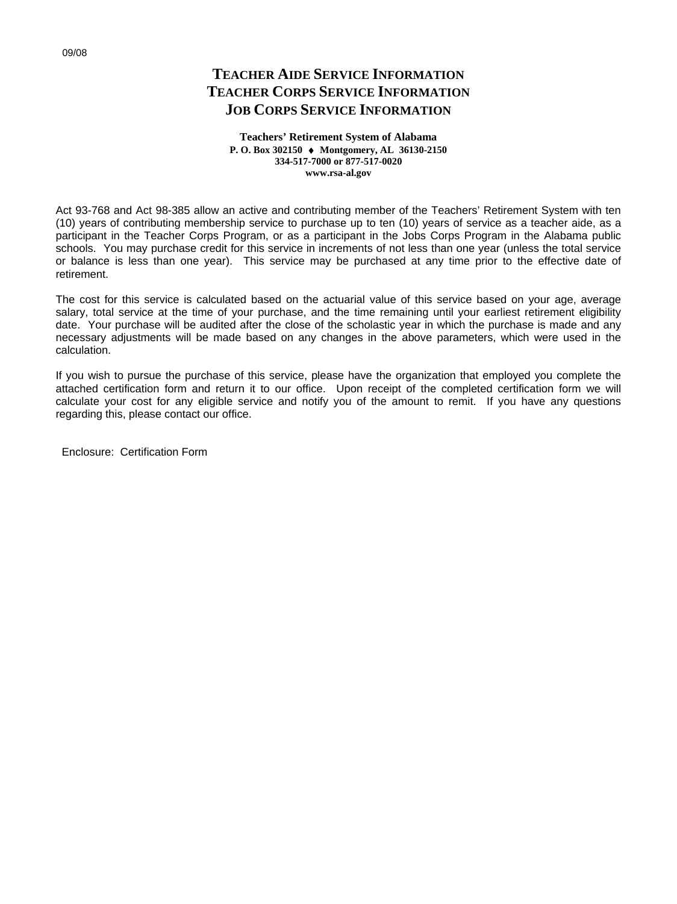## **TEACHER AIDE SERVICE INFORMATION TEACHER CORPS SERVICE INFORMATION JOB CORPS SERVICE INFORMATION**

**Teachers' Retirement System of Alabama P. O. Box 302150 Montgomery, AL 36130-2150 334-517-7000 or 877-517-0020 www.rsa-al.gov**

Act 93-768 and Act 98-385 allow an active and contributing member of the Teachers' Retirement System with ten (10) years of contributing membership service to purchase up to ten (10) years of service as a teacher aide, as a participant in the Teacher Corps Program, or as a participant in the Jobs Corps Program in the Alabama public schools. You may purchase credit for this service in increments of not less than one year (unless the total service or balance is less than one year). This service may be purchased at any time prior to the effective date of retirement.

The cost for this service is calculated based on the actuarial value of this service based on your age, average salary, total service at the time of your purchase, and the time remaining until your earliest retirement eligibility date. Your purchase will be audited after the close of the scholastic year in which the purchase is made and any necessary adjustments will be made based on any changes in the above parameters, which were used in the calculation.

If you wish to pursue the purchase of this service, please have the organization that employed you complete the attached certification form and return it to our office. Upon receipt of the completed certification form we will calculate your cost for any eligible service and notify you of the amount to remit. If you have any questions regarding this, please contact our office.

Enclosure: Certification Form